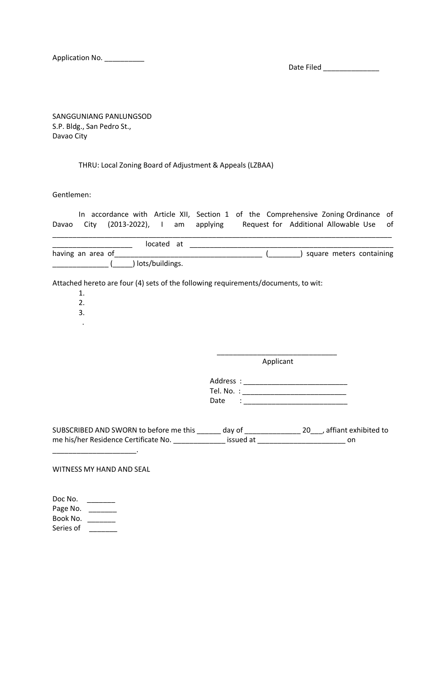Application No. \_\_\_\_\_\_\_\_\_\_\_

Date Filed \_\_\_\_\_\_\_\_\_\_\_\_\_\_

SANGGUNIANG PANLUNGSOD S.P. Bldg., San Pedro St., Davao City

## THRU: Local Zoning Board of Adjustment & Appeals (LZBAA)

Gentlemen:

| Davao                                                                                                |      | In accordance with Article XII, Section 1 of the Comprehensive Zoning Ordinance of<br>City (2013-2022), I am applying Request for Additional Allowable Use<br>of |
|------------------------------------------------------------------------------------------------------|------|------------------------------------------------------------------------------------------------------------------------------------------------------------------|
|                                                                                                      |      |                                                                                                                                                                  |
| ( ) lots/buildings.                                                                                  |      | ( _________) square meters containing                                                                                                                            |
| Attached hereto are four (4) sets of the following requirements/documents, to wit:<br>1.<br>2.<br>3. |      |                                                                                                                                                                  |
|                                                                                                      |      | Applicant                                                                                                                                                        |
|                                                                                                      | Date |                                                                                                                                                                  |
|                                                                                                      |      | SUBSCRIBED AND SWORN to before me this ______ day of ___________________ 20___, affiant exhibited to                                                             |
| WITNESS MY HAND AND SEAL                                                                             |      |                                                                                                                                                                  |

Doc No. \_\_\_\_\_\_\_\_ Page No. \_\_\_\_\_\_\_ Book No. \_\_\_\_\_\_\_\_ Series of \_\_\_\_\_\_\_\_